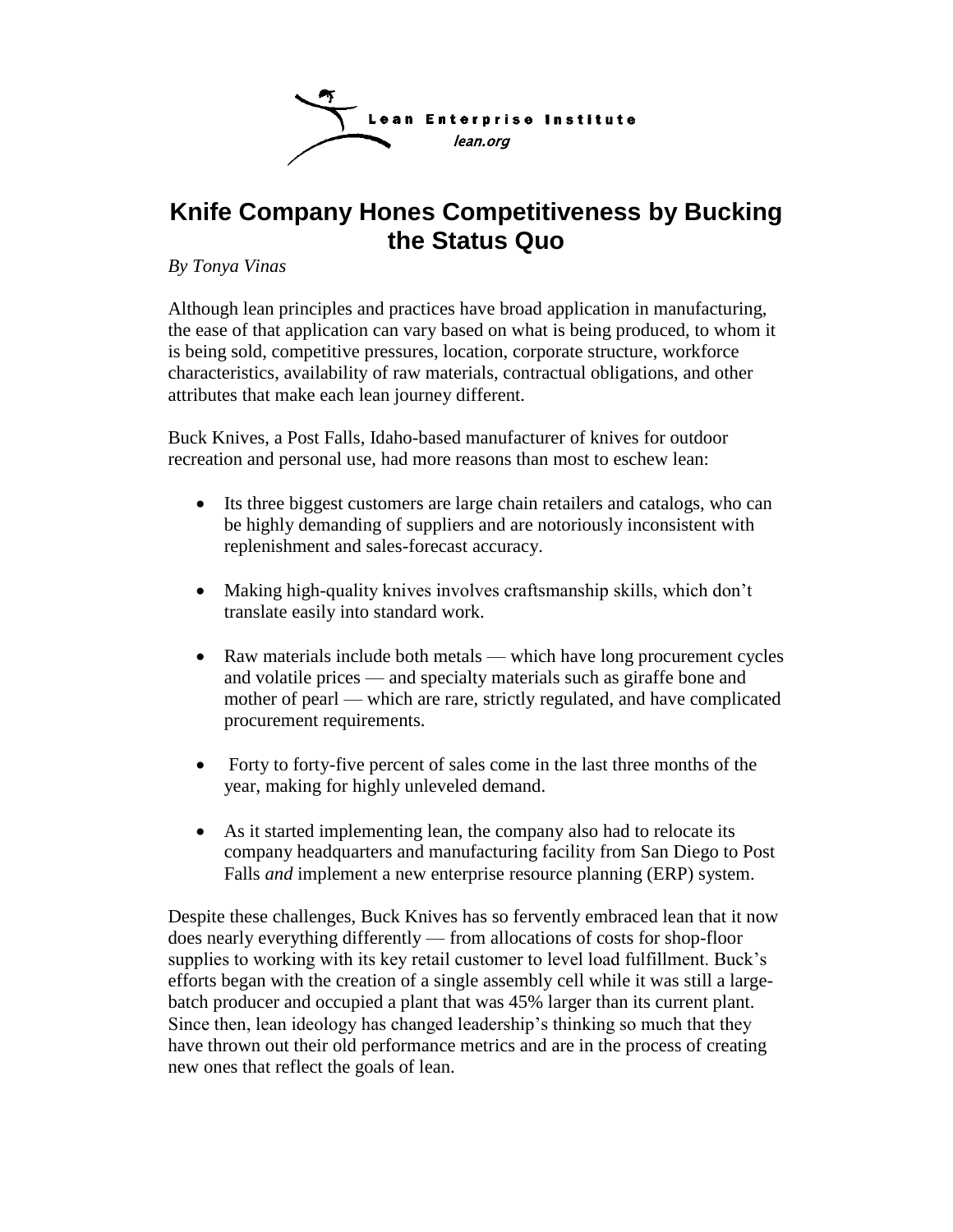

# **Knife Company Hones Competitiveness by Bucking the Status Quo**

*By Tonya Vinas*

Although lean principles and practices have broad application in manufacturing, the ease of that application can vary based on what is being produced, to whom it is being sold, competitive pressures, location, corporate structure, workforce characteristics, availability of raw materials, contractual obligations, and other attributes that make each lean journey different.

Buck Knives, a Post Falls, Idaho-based manufacturer of knives for outdoor recreation and personal use, had more reasons than most to eschew lean:

- Its three biggest customers are large chain retailers and catalogs, who can be highly demanding of suppliers and are notoriously inconsistent with replenishment and sales-forecast accuracy.
- Making high-quality knives involves craftsmanship skills, which don't translate easily into standard work.
- Raw materials include both metals which have long procurement cycles and volatile prices — and specialty materials such as giraffe bone and mother of pearl — which are rare, strictly regulated, and have complicated procurement requirements.
- Forty to forty-five percent of sales come in the last three months of the year, making for highly unleveled demand.
- As it started implementing lean, the company also had to relocate its company headquarters and manufacturing facility from San Diego to Post Falls *and* implement a new enterprise resource planning (ERP) system.

Despite these challenges, Buck Knives has so fervently embraced lean that it now does nearly everything differently — from allocations of costs for shop-floor supplies to working with its key retail customer to level load fulfillment. Buck's efforts began with the creation of a single assembly cell while it was still a largebatch producer and occupied a plant that was 45% larger than its current plant. Since then, lean ideology has changed leadership's thinking so much that they have thrown out their old performance metrics and are in the process of creating new ones that reflect the goals of lean.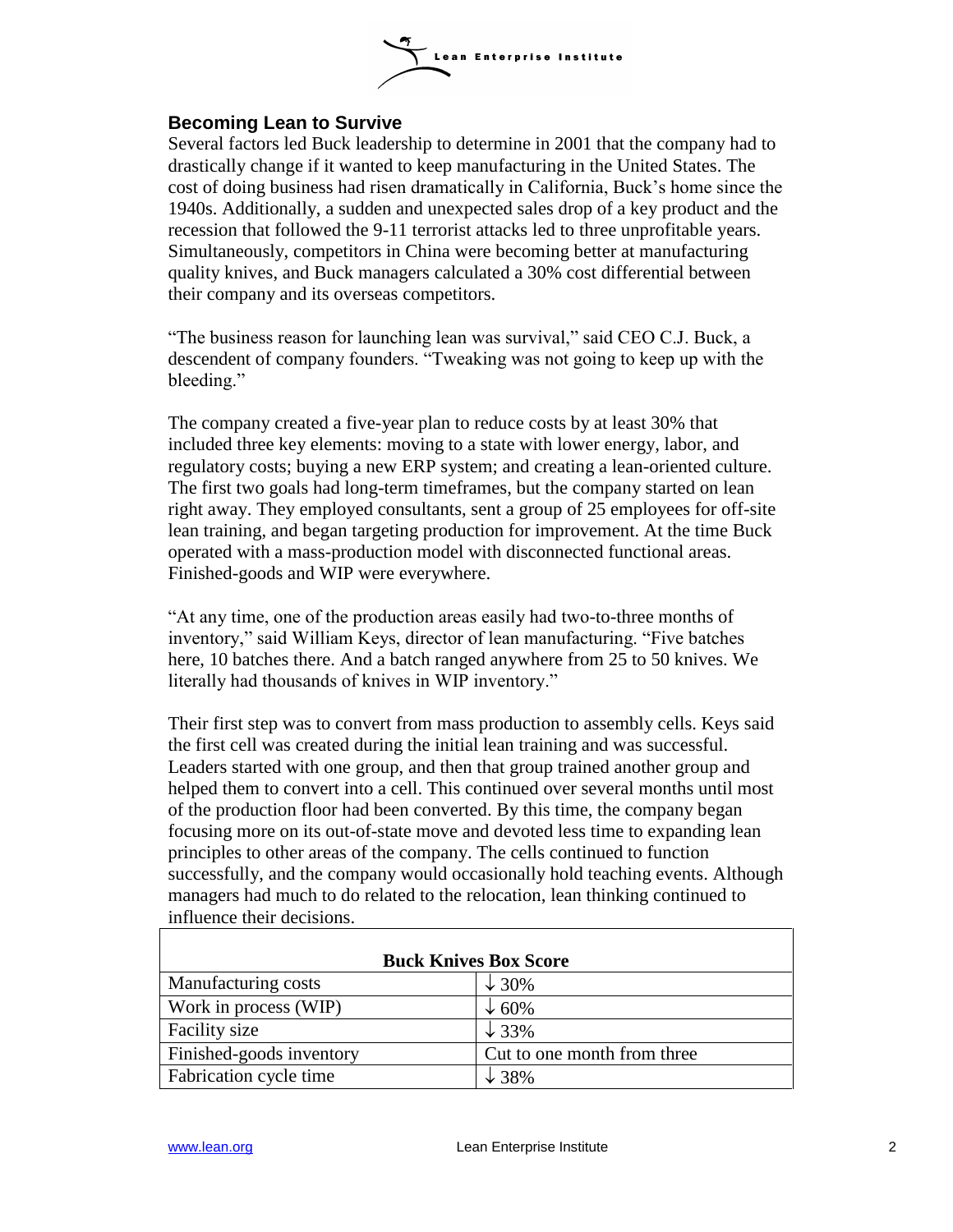

## **Becoming Lean to Survive**

Several factors led Buck leadership to determine in 2001 that the company had to drastically change if it wanted to keep manufacturing in the United States. The cost of doing business had risen dramatically in California, Buck's home since the 1940s. Additionally, a sudden and unexpected sales drop of a key product and the recession that followed the 9-11 terrorist attacks led to three unprofitable years. Simultaneously, competitors in China were becoming better at manufacturing quality knives, and Buck managers calculated a 30% cost differential between their company and its overseas competitors.

"The business reason for launching lean was survival," said CEO C.J. Buck, a descendent of company founders. "Tweaking was not going to keep up with the bleeding."

The company created a five-year plan to reduce costs by at least 30% that included three key elements: moving to a state with lower energy, labor, and regulatory costs; buying a new ERP system; and creating a lean-oriented culture. The first two goals had long-term timeframes, but the company started on lean right away. They employed consultants, sent a group of 25 employees for off-site lean training, and began targeting production for improvement. At the time Buck operated with a mass-production model with disconnected functional areas. Finished-goods and WIP were everywhere.

―At any time, one of the production areas easily had two-to-three months of inventory," said William Keys, director of lean manufacturing. "Five batches here, 10 batches there. And a batch ranged anywhere from 25 to 50 knives. We literally had thousands of knives in WIP inventory."

Their first step was to convert from mass production to assembly cells. Keys said the first cell was created during the initial lean training and was successful. Leaders started with one group, and then that group trained another group and helped them to convert into a cell. This continued over several months until most of the production floor had been converted. By this time, the company began focusing more on its out-of-state move and devoted less time to expanding lean principles to other areas of the company. The cells continued to function successfully, and the company would occasionally hold teaching events. Although managers had much to do related to the relocation, lean thinking continued to influence their decisions.

| <b>Buck Knives Box Score</b> |                             |
|------------------------------|-----------------------------|
| Manufacturing costs          | $\downarrow$ 30%            |
| Work in process (WIP)        | $\downarrow 60\%$           |
| Facility size                | $\downarrow$ 33%            |
| Finished-goods inventory     | Cut to one month from three |
| Fabrication cycle time       | $\downarrow$ 38%            |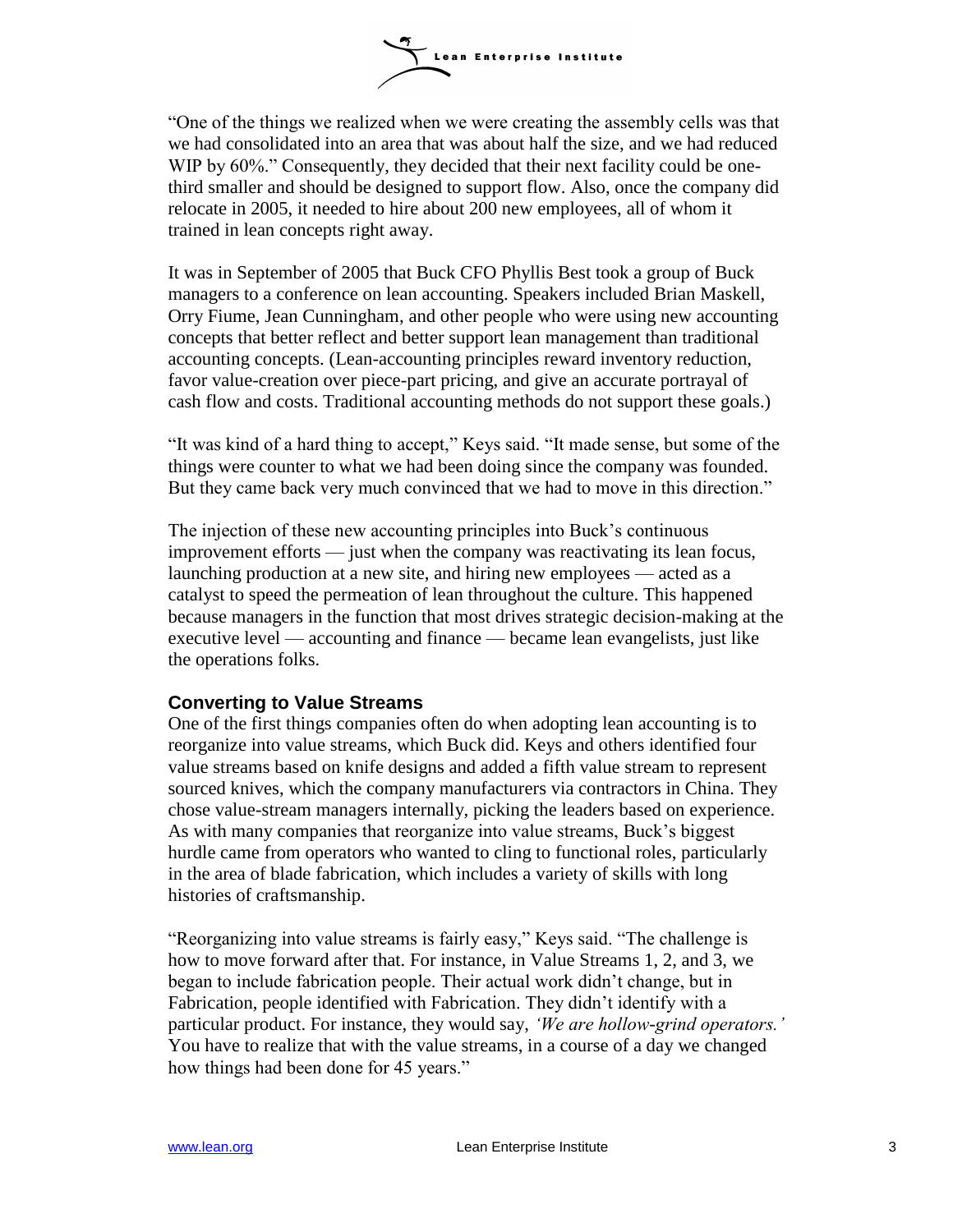

―One of the things we realized when we were creating the assembly cells was that we had consolidated into an area that was about half the size, and we had reduced WIP by 60%." Consequently, they decided that their next facility could be onethird smaller and should be designed to support flow. Also, once the company did relocate in 2005, it needed to hire about 200 new employees, all of whom it trained in lean concepts right away.

It was in September of 2005 that Buck CFO Phyllis Best took a group of Buck managers to a conference on lean accounting. Speakers included Brian Maskell, Orry Fiume, Jean Cunningham, and other people who were using new accounting concepts that better reflect and better support lean management than traditional accounting concepts. (Lean-accounting principles reward inventory reduction, favor value-creation over piece-part pricing, and give an accurate portrayal of cash flow and costs. Traditional accounting methods do not support these goals.)

"It was kind of a hard thing to accept," Keys said. "It made sense, but some of the things were counter to what we had been doing since the company was founded. But they came back very much convinced that we had to move in this direction."

The injection of these new accounting principles into Buck's continuous improvement efforts — just when the company was reactivating its lean focus, launching production at a new site, and hiring new employees — acted as a catalyst to speed the permeation of lean throughout the culture. This happened because managers in the function that most drives strategic decision-making at the executive level — accounting and finance — became lean evangelists, just like the operations folks.

### **Converting to Value Streams**

One of the first things companies often do when adopting lean accounting is to reorganize into value streams, which Buck did. Keys and others identified four value streams based on knife designs and added a fifth value stream to represent sourced knives, which the company manufacturers via contractors in China. They chose value-stream managers internally, picking the leaders based on experience. As with many companies that reorganize into value streams, Buck's biggest hurdle came from operators who wanted to cling to functional roles, particularly in the area of blade fabrication, which includes a variety of skills with long histories of craftsmanship.

"Reorganizing into value streams is fairly easy," Keys said. "The challenge is how to move forward after that. For instance, in Value Streams 1, 2, and 3, we began to include fabrication people. Their actual work didn't change, but in Fabrication, people identified with Fabrication. They didn't identify with a particular product. For instance, they would say, *'We are hollow-grind operators.'* You have to realize that with the value streams, in a course of a day we changed how things had been done for 45 years."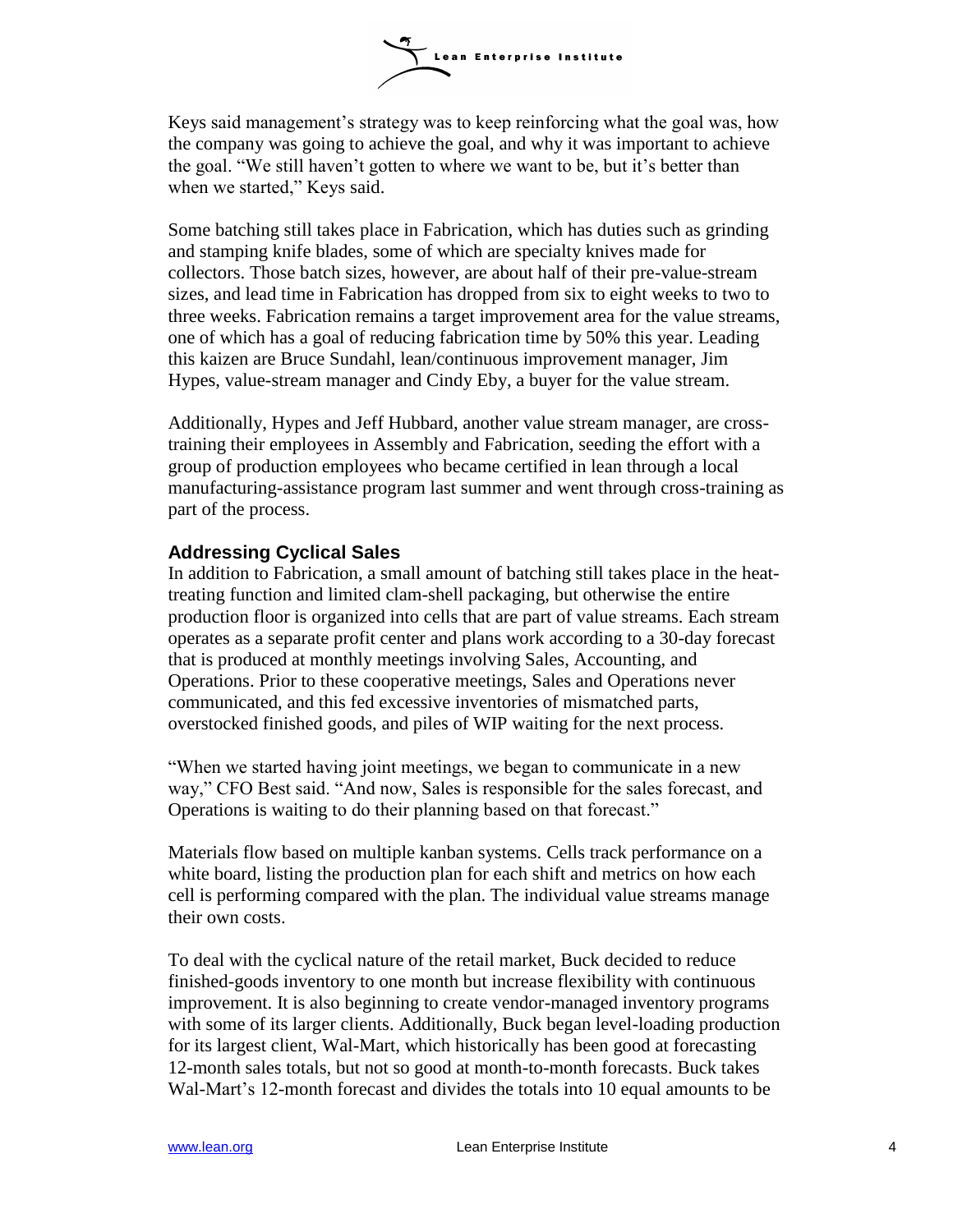

Keys said management's strategy was to keep reinforcing what the goal was, how the company was going to achieve the goal, and why it was important to achieve the goal. "We still haven't gotten to where we want to be, but it's better than when we started," Keys said.

Some batching still takes place in Fabrication, which has duties such as grinding and stamping knife blades, some of which are specialty knives made for collectors. Those batch sizes, however, are about half of their pre-value-stream sizes, and lead time in Fabrication has dropped from six to eight weeks to two to three weeks. Fabrication remains a target improvement area for the value streams, one of which has a goal of reducing fabrication time by 50% this year. Leading this kaizen are Bruce Sundahl, lean/continuous improvement manager, Jim Hypes, value-stream manager and Cindy Eby, a buyer for the value stream.

Additionally, Hypes and Jeff Hubbard, another value stream manager, are crosstraining their employees in Assembly and Fabrication, seeding the effort with a group of production employees who became certified in lean through a local manufacturing-assistance program last summer and went through cross-training as part of the process.

### **Addressing Cyclical Sales**

In addition to Fabrication, a small amount of batching still takes place in the heattreating function and limited clam-shell packaging, but otherwise the entire production floor is organized into cells that are part of value streams. Each stream operates as a separate profit center and plans work according to a 30-day forecast that is produced at monthly meetings involving Sales, Accounting, and Operations. Prior to these cooperative meetings, Sales and Operations never communicated, and this fed excessive inventories of mismatched parts, overstocked finished goods, and piles of WIP waiting for the next process.

"When we started having joint meetings, we began to communicate in a new way," CFO Best said. "And now, Sales is responsible for the sales forecast, and Operations is waiting to do their planning based on that forecast."

Materials flow based on multiple kanban systems. Cells track performance on a white board, listing the production plan for each shift and metrics on how each cell is performing compared with the plan. The individual value streams manage their own costs.

To deal with the cyclical nature of the retail market, Buck decided to reduce finished-goods inventory to one month but increase flexibility with continuous improvement. It is also beginning to create vendor-managed inventory programs with some of its larger clients. Additionally, Buck began level-loading production for its largest client, Wal-Mart, which historically has been good at forecasting 12-month sales totals, but not so good at month-to-month forecasts. Buck takes Wal-Mart's 12-month forecast and divides the totals into 10 equal amounts to be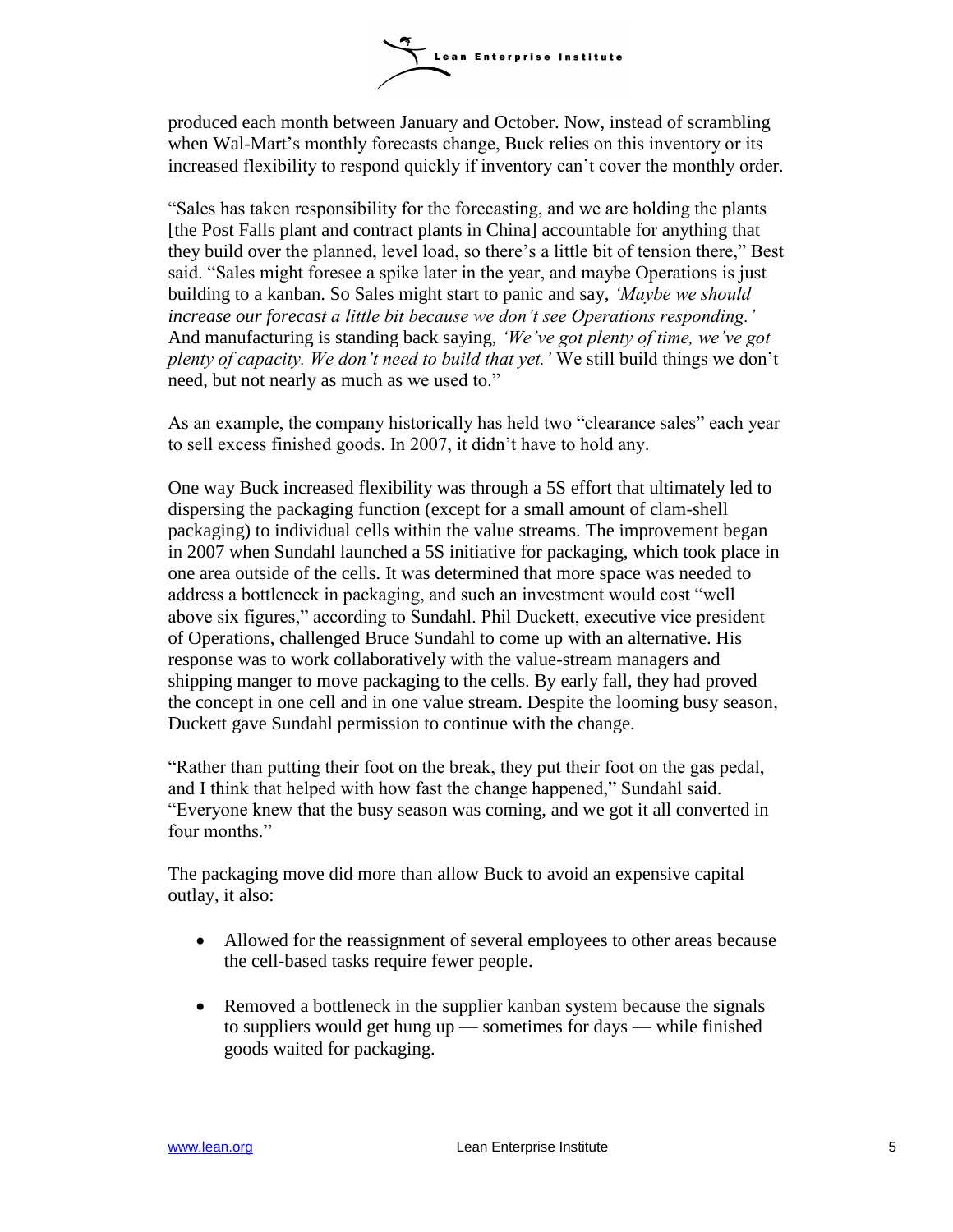

produced each month between January and October. Now, instead of scrambling when Wal-Mart's monthly forecasts change, Buck relies on this inventory or its increased flexibility to respond quickly if inventory can't cover the monthly order.

―Sales has taken responsibility for the forecasting, and we are holding the plants [the Post Falls plant and contract plants in China] accountable for anything that they build over the planned, level load, so there's a little bit of tension there," Best said. "Sales might foresee a spike later in the year, and maybe Operations is just building to a kanban. So Sales might start to panic and say, *'Maybe we should increase our forecast a little bit because we don't see Operations responding.'*  And manufacturing is standing back saying, *'We've got plenty of time, we've got plenty of capacity. We don't need to build that yet.'* We still build things we don't need, but not nearly as much as we used to."

As an example, the company historically has held two "clearance sales" each year to sell excess finished goods. In 2007, it didn't have to hold any.

One way Buck increased flexibility was through a 5S effort that ultimately led to dispersing the packaging function (except for a small amount of clam-shell packaging) to individual cells within the value streams. The improvement began in 2007 when Sundahl launched a 5S initiative for packaging, which took place in one area outside of the cells. It was determined that more space was needed to address a bottleneck in packaging, and such an investment would cost "well above six figures," according to Sundahl. Phil Duckett, executive vice president of Operations, challenged Bruce Sundahl to come up with an alternative. His response was to work collaboratively with the value-stream managers and shipping manger to move packaging to the cells. By early fall, they had proved the concept in one cell and in one value stream. Despite the looming busy season, Duckett gave Sundahl permission to continue with the change.

―Rather than putting their foot on the break, they put their foot on the gas pedal, and I think that helped with how fast the change happened," Sundahl said. ―Everyone knew that the busy season was coming, and we got it all converted in four months."

The packaging move did more than allow Buck to avoid an expensive capital outlay, it also:

- Allowed for the reassignment of several employees to other areas because the cell-based tasks require fewer people.
- Removed a bottleneck in the supplier kanban system because the signals to suppliers would get hung up — sometimes for days — while finished goods waited for packaging.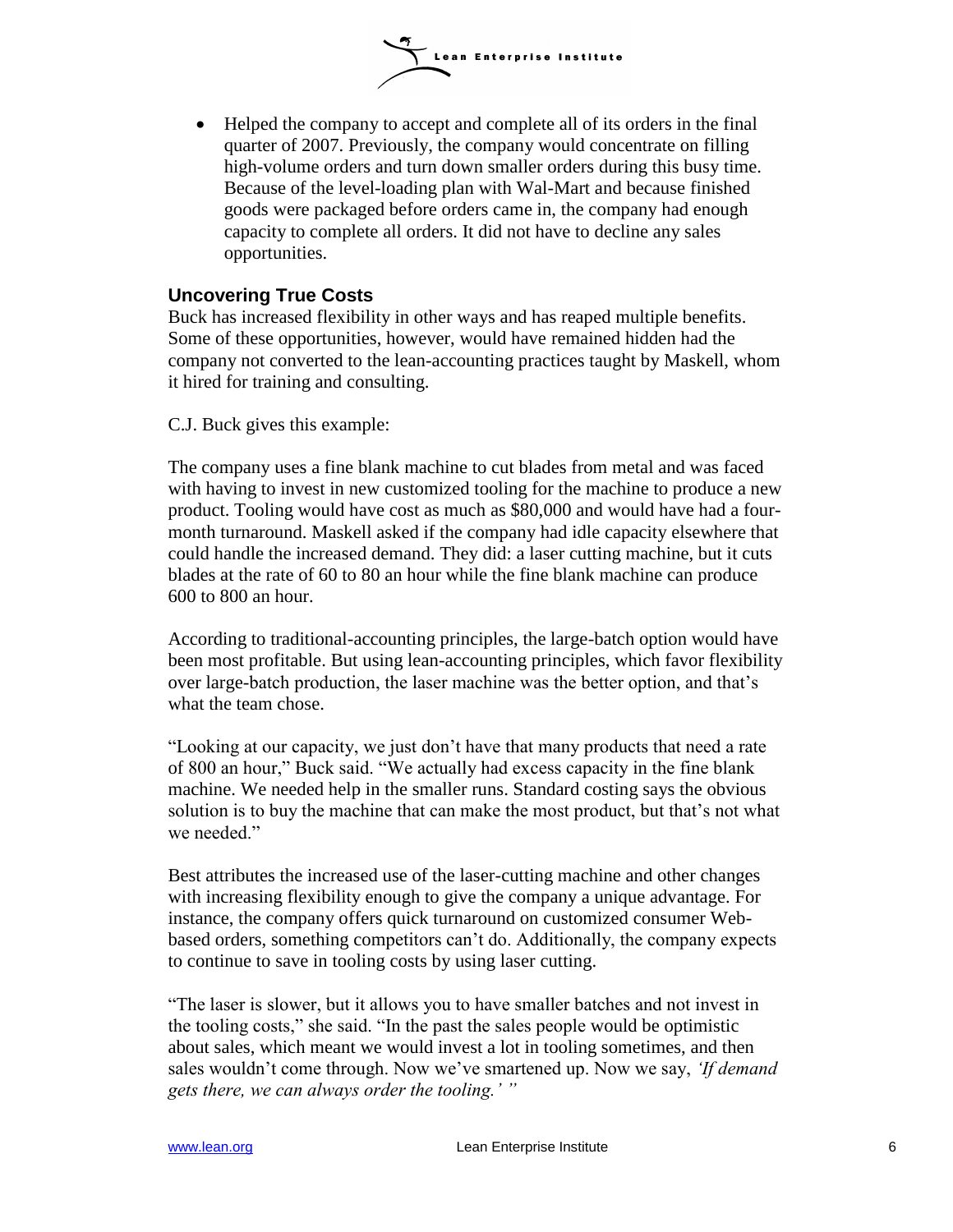

 Helped the company to accept and complete all of its orders in the final quarter of 2007. Previously, the company would concentrate on filling high-volume orders and turn down smaller orders during this busy time. Because of the level-loading plan with Wal-Mart and because finished goods were packaged before orders came in, the company had enough capacity to complete all orders. It did not have to decline any sales opportunities.

## **Uncovering True Costs**

Buck has increased flexibility in other ways and has reaped multiple benefits. Some of these opportunities, however, would have remained hidden had the company not converted to the lean-accounting practices taught by Maskell, whom it hired for training and consulting.

C.J. Buck gives this example:

The company uses a fine blank machine to cut blades from metal and was faced with having to invest in new customized tooling for the machine to produce a new product. Tooling would have cost as much as \$80,000 and would have had a fourmonth turnaround. Maskell asked if the company had idle capacity elsewhere that could handle the increased demand. They did: a laser cutting machine, but it cuts blades at the rate of 60 to 80 an hour while the fine blank machine can produce 600 to 800 an hour.

According to traditional-accounting principles, the large-batch option would have been most profitable. But using lean-accounting principles, which favor flexibility over large-batch production, the laser machine was the better option, and that's what the team chose.

―Looking at our capacity, we just don't have that many products that need a rate of 800 an hour," Buck said. "We actually had excess capacity in the fine blank machine. We needed help in the smaller runs. Standard costing says the obvious solution is to buy the machine that can make the most product, but that's not what we needed."

Best attributes the increased use of the laser-cutting machine and other changes with increasing flexibility enough to give the company a unique advantage. For instance, the company offers quick turnaround on customized consumer Webbased orders, something competitors can't do. Additionally, the company expects to continue to save in tooling costs by using laser cutting.

―The laser is slower, but it allows you to have smaller batches and not invest in the tooling costs," she said. "In the past the sales people would be optimistic about sales, which meant we would invest a lot in tooling sometimes, and then sales wouldn't come through. Now we've smartened up. Now we say, *'If demand gets there, we can always order the tooling.' "*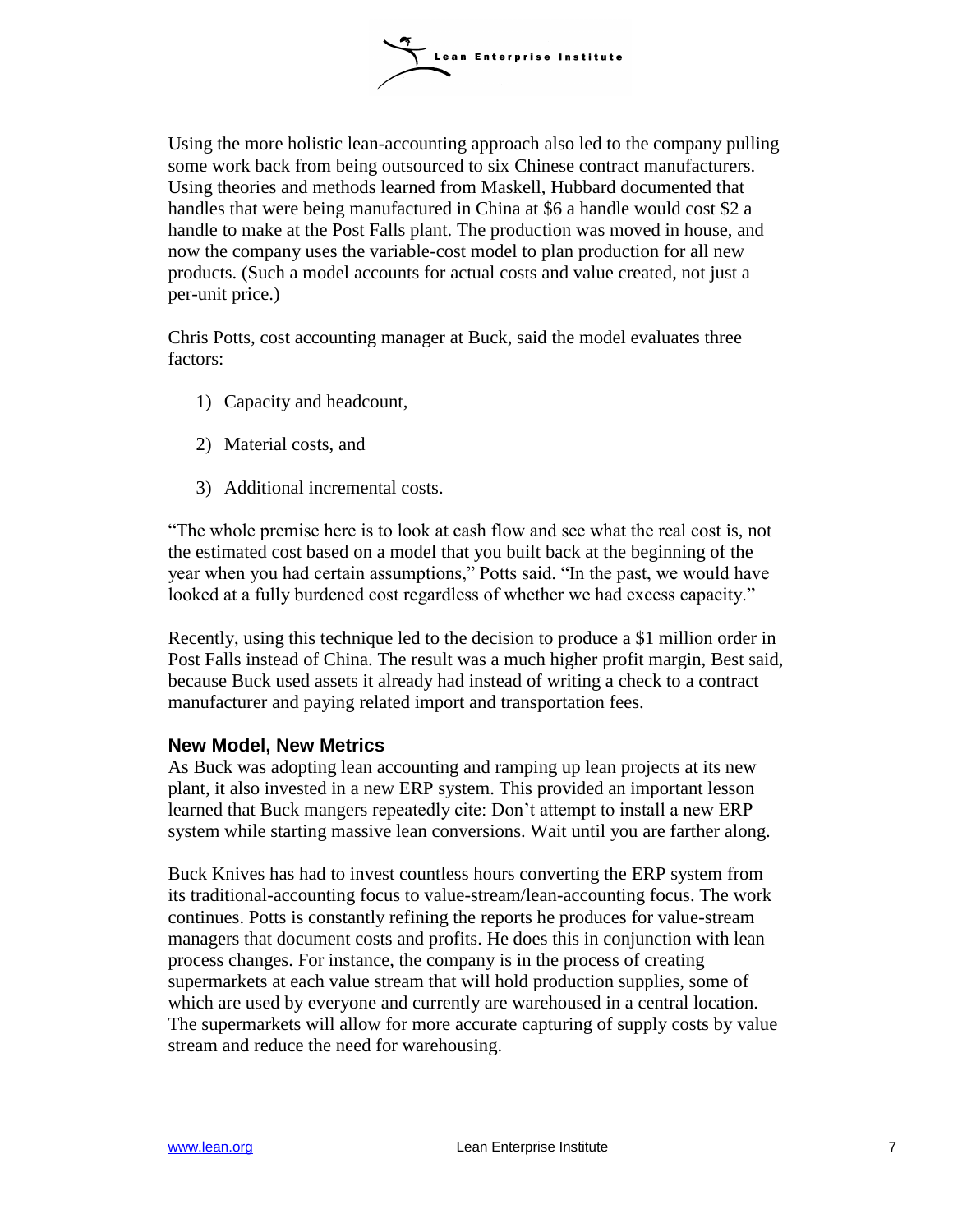

Using the more holistic lean-accounting approach also led to the company pulling some work back from being outsourced to six Chinese contract manufacturers. Using theories and methods learned from Maskell, Hubbard documented that handles that were being manufactured in China at \$6 a handle would cost \$2 a handle to make at the Post Falls plant. The production was moved in house, and now the company uses the variable-cost model to plan production for all new products. (Such a model accounts for actual costs and value created, not just a per-unit price.)

Chris Potts, cost accounting manager at Buck, said the model evaluates three factors:

- 1) Capacity and headcount,
- 2) Material costs, and
- 3) Additional incremental costs.

―The whole premise here is to look at cash flow and see what the real cost is, not the estimated cost based on a model that you built back at the beginning of the year when you had certain assumptions," Potts said. "In the past, we would have looked at a fully burdened cost regardless of whether we had excess capacity."

Recently, using this technique led to the decision to produce a \$1 million order in Post Falls instead of China. The result was a much higher profit margin, Best said, because Buck used assets it already had instead of writing a check to a contract manufacturer and paying related import and transportation fees.

### **New Model, New Metrics**

As Buck was adopting lean accounting and ramping up lean projects at its new plant, it also invested in a new ERP system. This provided an important lesson learned that Buck mangers repeatedly cite: Don't attempt to install a new ERP system while starting massive lean conversions. Wait until you are farther along.

Buck Knives has had to invest countless hours converting the ERP system from its traditional-accounting focus to value-stream/lean-accounting focus. The work continues. Potts is constantly refining the reports he produces for value-stream managers that document costs and profits. He does this in conjunction with lean process changes. For instance, the company is in the process of creating supermarkets at each value stream that will hold production supplies, some of which are used by everyone and currently are warehoused in a central location. The supermarkets will allow for more accurate capturing of supply costs by value stream and reduce the need for warehousing.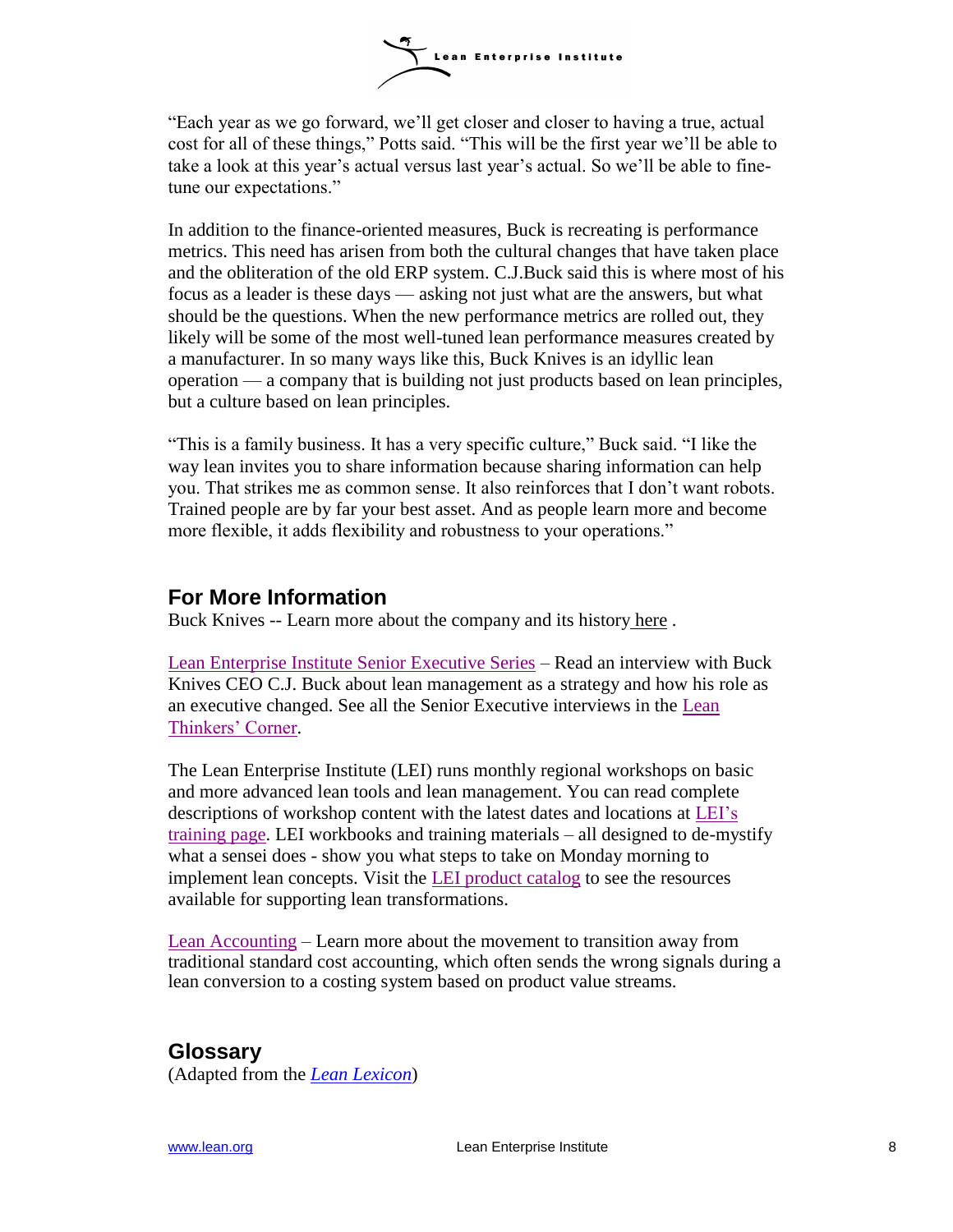

―Each year as we go forward, we'll get closer and closer to having a true, actual cost for all of these things," Potts said. "This will be the first year we'll be able to take a look at this year's actual versus last year's actual. So we'll be able to finetune our expectations."

In addition to the finance-oriented measures, Buck is recreating is performance metrics. This need has arisen from both the cultural changes that have taken place and the obliteration of the old ERP system. C.J.Buck said this is where most of his focus as a leader is these days — asking not just what are the answers, but what should be the questions. When the new performance metrics are rolled out, they likely will be some of the most well-tuned lean performance measures created by a manufacturer. In so many ways like this, Buck Knives is an idyllic lean operation — a company that is building not just products based on lean principles, but a culture based on lean principles.

"This is a family business. It has a very specific culture," Buck said. "I like the way lean invites you to share information because sharing information can help you. That strikes me as common sense. It also reinforces that I don't want robots. Trained people are by far your best asset. And as people learn more and become more flexible, it adds flexibility and robustness to your operations."

# **For More Information**

Buck Knives -- Learn more about the company and its history [here](http://www.buckknives.com/) .

[Lean Enterprise Institute Senior Executive Series](http://www.lean.org/Community/Registered/ArticleDocuments/CJBuckFinal.pdf) – Read an interview with Buck Knives CEO C.J. Buck about lean management as a strategy and how his role as an executive changed. See all the Senior Executive interviews in the [Lean](http://www.lean.org/Community/Resources/ThinkersCorner.cfm)  [Thinkers' Corner.](http://www.lean.org/Community/Resources/ThinkersCorner.cfm)

The Lean Enterprise Institute (LEI) runs monthly regional workshops on basic and more advanced lean tools and lean management. You can read complete descriptions of workshop content with the latest dates and locations at [LEI's](http://www.lean.org/Workshops/)  [training page.](http://www.lean.org/Workshops/) LEI workbooks and training materials – all designed to de-mystify what a sensei does - show you what steps to take on Monday morning to implement lean concepts. Visit the [LEI product catalog](http://www.lean.org/Bookstore/) to see the resources available for supporting lean transformations.

[Lean Accounting](http://www.leanaccountingsummit.com/default.asp) – Learn more about the movement to transition away from traditional standard cost accounting, which often sends the wrong signals during a lean conversion to a costing system based on product value streams.

# **Glossary**

(Adapted from the *[Lean Lexicon](http://www.lean.org/Bookstore/ProductDetails.cfm?SelectedProductID=83)*)